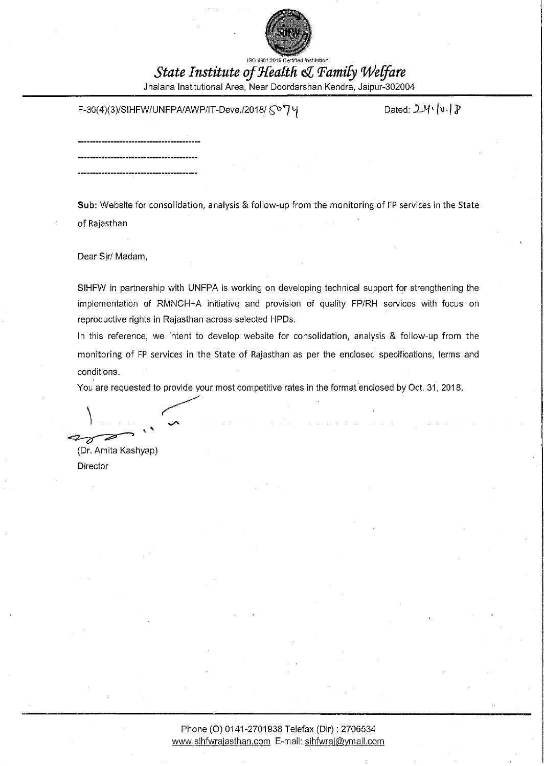

ISO 9901:2015 Gertified Institution

# State Institute of Health & Family Welfare

Jhalana Institutional Area, Near Doordarshan Kendra, Jaipur-302004

## F-30(4)(3)/SIHFW/UNFPA/AWP/IT-Deve./2018/ 5<sup>o</sup>/7 γ

Dated:  $2\mathcal{H}\cdot|\mathfrak{v}|\mathfrak{F}$ 

Sub: Website for consolidation, analysis & follow-up from the monitoring of FP services in the State

of Rajasthan

Dear Sir/ Madam,

SIHFW in partnership with UNFPA is working on developing technical support for strengthening the implementation of RMNCH+A initiative and provision of quality FP/RH services with focus on reproductive rights in Rajasthan across selected HPDs.

In this reference, we intent to develop website for consolidation, analysis & follow-up from the monitoring of FP services in the State of Rajasthan as per the enclosed specifications, terms and conditions.

You are requested to provide your most competitive rates in the format enclosed by Oct. 31, 2018.

(Dr. Amita Kashyap)

Director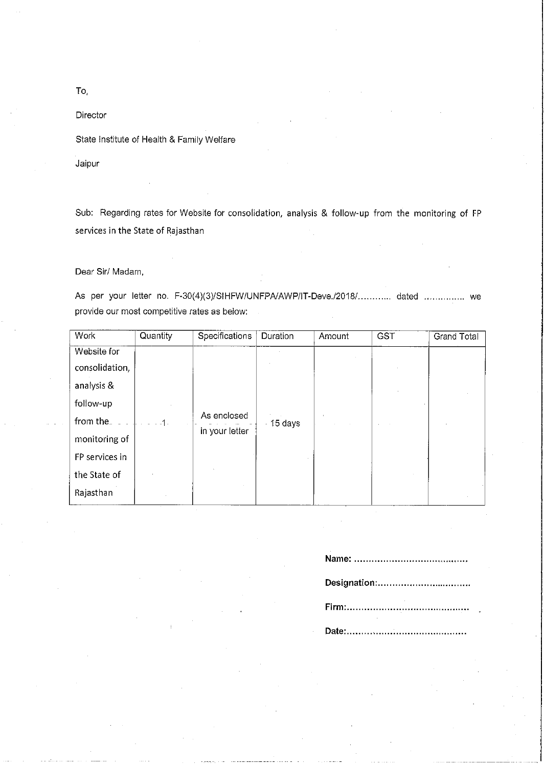Director

State Institute of Health & Family Welfare

Jaipur

Sub: Regarding rates for Website for consolidation, analysis & follow-up from the monitoring of FP services in the State of Rajasthan

Dear Sir/ Madam,

As per your letter no. F-30(4)(3)/SIHFW/UNFPA/AWP/IT-Deve./2018/............ dated ............... we provide our most competitive rates as below:

| Work           | Quantity | Specifications                | Duration   | Amount | <b>GST</b> | <b>Grand Total</b> |
|----------------|----------|-------------------------------|------------|--------|------------|--------------------|
| Website for    |          |                               |            |        |            |                    |
| consolidation, | .1.      | As enclosed<br>in your letter | $-15$ days |        |            |                    |
| analysis &     |          |                               |            |        |            |                    |
| follow-up      |          |                               |            |        |            |                    |
| from the       |          |                               |            |        |            |                    |
| monitoring of  |          |                               |            |        |            |                    |
| FP services in |          |                               |            |        |            |                    |
| the State of   |          |                               |            |        |            |                    |
| Rajasthan      |          |                               |            |        |            |                    |

Designation:................................... 

To,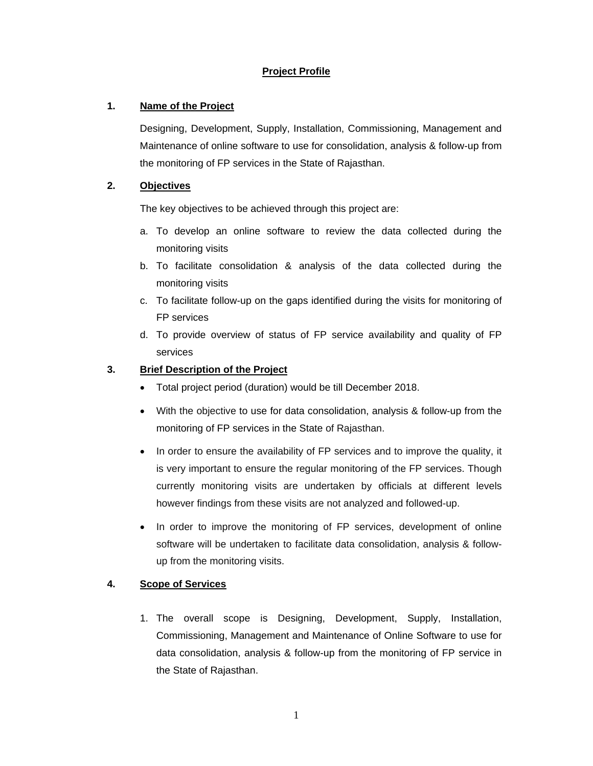## **Project Profile**

## **1. Name of the Project**

Designing, Development, Supply, Installation, Commissioning, Management and Maintenance of online software to use for consolidation, analysis & follow-up from the monitoring of FP services in the State of Rajasthan.

## **2. Objectives**

The key objectives to be achieved through this project are:

- a. To develop an online software to review the data collected during the monitoring visits
- b. To facilitate consolidation & analysis of the data collected during the monitoring visits
- c. To facilitate follow-up on the gaps identified during the visits for monitoring of FP services
- d. To provide overview of status of FP service availability and quality of FP services

## **3. Brief Description of the Project**

- Total project period (duration) would be till December 2018.
- With the objective to use for data consolidation, analysis & follow-up from the monitoring of FP services in the State of Rajasthan.
- In order to ensure the availability of FP services and to improve the quality, it is very important to ensure the regular monitoring of the FP services. Though currently monitoring visits are undertaken by officials at different levels however findings from these visits are not analyzed and followed-up.
- In order to improve the monitoring of FP services, development of online software will be undertaken to facilitate data consolidation, analysis & followup from the monitoring visits.

### **4. Scope of Services**

1. The overall scope is Designing, Development, Supply, Installation, Commissioning, Management and Maintenance of Online Software to use for data consolidation, analysis & follow-up from the monitoring of FP service in the State of Rajasthan.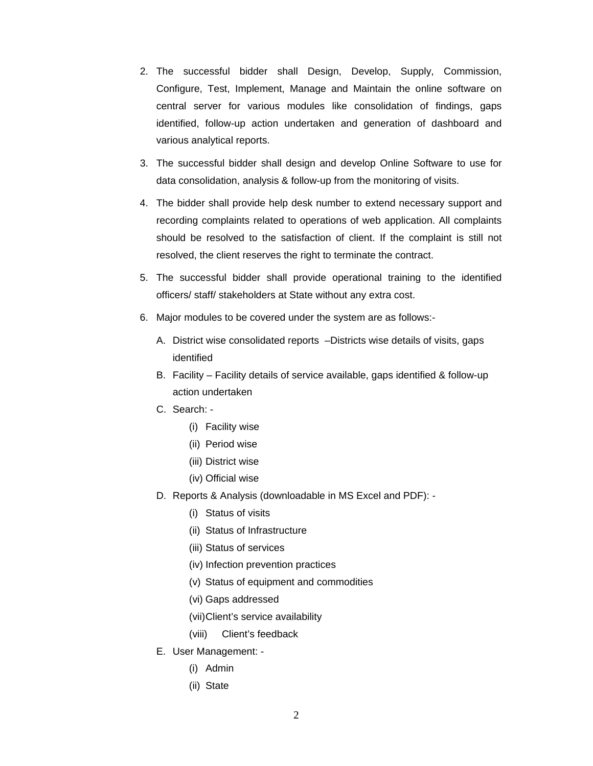- 2. The successful bidder shall Design, Develop, Supply, Commission, Configure, Test, Implement, Manage and Maintain the online software on central server for various modules like consolidation of findings, gaps identified, follow-up action undertaken and generation of dashboard and various analytical reports.
- 3. The successful bidder shall design and develop Online Software to use for data consolidation, analysis & follow-up from the monitoring of visits.
- 4. The bidder shall provide help desk number to extend necessary support and recording complaints related to operations of web application. All complaints should be resolved to the satisfaction of client. If the complaint is still not resolved, the client reserves the right to terminate the contract.
- 5. The successful bidder shall provide operational training to the identified officers/ staff/ stakeholders at State without any extra cost.
- 6. Major modules to be covered under the system are as follows:-
	- A. District wise consolidated reports –Districts wise details of visits, gaps identified
	- B. Facility Facility details of service available, gaps identified & follow-up action undertaken
	- C. Search:
		- (i) Facility wise
		- (ii) Period wise
		- (iii) District wise
		- (iv) Official wise
	- D. Reports & Analysis (downloadable in MS Excel and PDF):
		- (i) Status of visits
		- (ii) Status of Infrastructure
		- (iii) Status of services
		- (iv) Infection prevention practices
		- (v) Status of equipment and commodities
		- (vi) Gaps addressed
		- (vii) Client's service availability
		- (viii) Client's feedback
	- E. User Management:
		- (i) Admin
		- (ii) State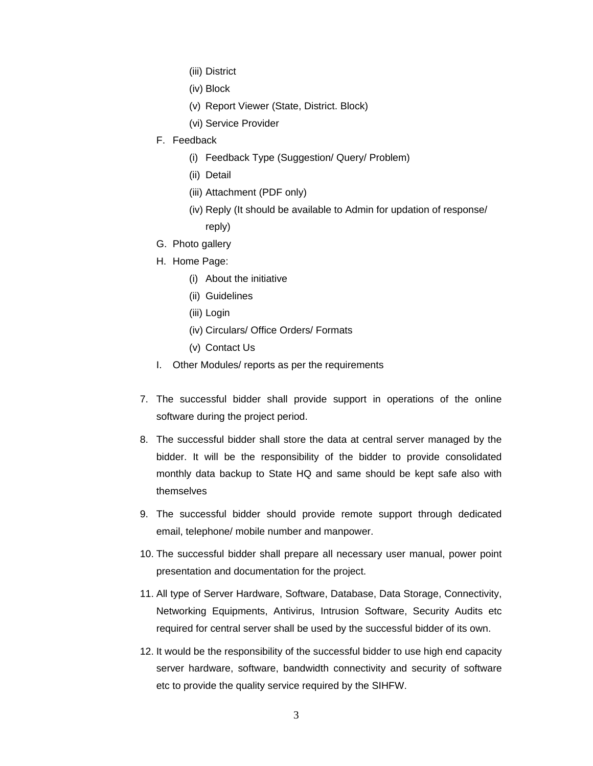- (iii) District
- (iv) Block
- (v) Report Viewer (State, District. Block)
- (vi) Service Provider
- F. Feedback
	- (i) Feedback Type (Suggestion/ Query/ Problem)
	- (ii) Detail
	- (iii) Attachment (PDF only)
	- (iv) Reply (It should be available to Admin for updation of response/ reply)
- G. Photo gallery
- H. Home Page:
	- (i) About the initiative
	- (ii) Guidelines
	- (iii) Login
	- (iv) Circulars/ Office Orders/ Formats
	- (v) Contact Us
- I. Other Modules/ reports as per the requirements
- 7. The successful bidder shall provide support in operations of the online software during the project period.
- 8. The successful bidder shall store the data at central server managed by the bidder. It will be the responsibility of the bidder to provide consolidated monthly data backup to State HQ and same should be kept safe also with themselves
- 9. The successful bidder should provide remote support through dedicated email, telephone/ mobile number and manpower.
- 10. The successful bidder shall prepare all necessary user manual, power point presentation and documentation for the project.
- 11. All type of Server Hardware, Software, Database, Data Storage, Connectivity, Networking Equipments, Antivirus, Intrusion Software, Security Audits etc required for central server shall be used by the successful bidder of its own.
- 12. It would be the responsibility of the successful bidder to use high end capacity server hardware, software, bandwidth connectivity and security of software etc to provide the quality service required by the SIHFW.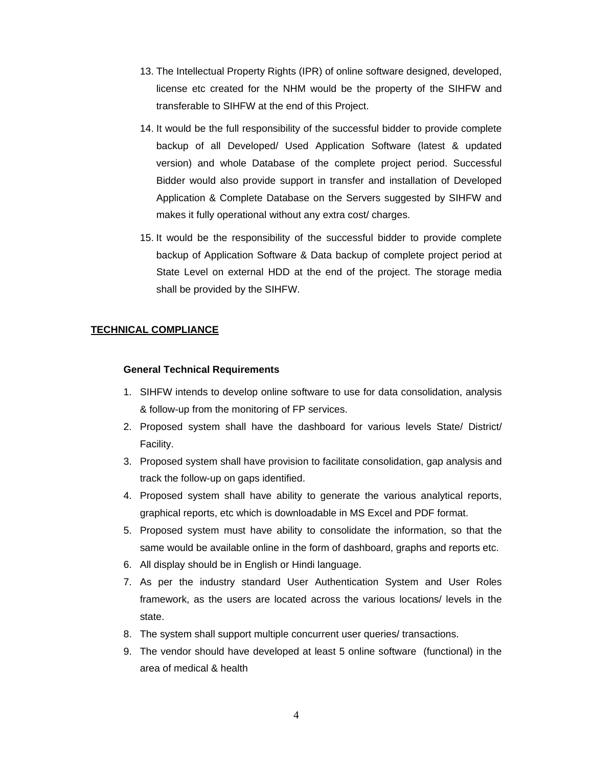- 13. The Intellectual Property Rights (IPR) of online software designed, developed, license etc created for the NHM would be the property of the SIHFW and transferable to SIHFW at the end of this Project.
- 14. It would be the full responsibility of the successful bidder to provide complete backup of all Developed/ Used Application Software (latest & updated version) and whole Database of the complete project period. Successful Bidder would also provide support in transfer and installation of Developed Application & Complete Database on the Servers suggested by SIHFW and makes it fully operational without any extra cost/ charges.
- 15. It would be the responsibility of the successful bidder to provide complete backup of Application Software & Data backup of complete project period at State Level on external HDD at the end of the project. The storage media shall be provided by the SIHFW.

### **TECHNICAL COMPLIANCE**

#### **General Technical Requirements**

- 1. SIHFW intends to develop online software to use for data consolidation, analysis & follow-up from the monitoring of FP services.
- 2. Proposed system shall have the dashboard for various levels State/ District/ Facility.
- 3. Proposed system shall have provision to facilitate consolidation, gap analysis and track the follow-up on gaps identified.
- 4. Proposed system shall have ability to generate the various analytical reports, graphical reports, etc which is downloadable in MS Excel and PDF format.
- 5. Proposed system must have ability to consolidate the information, so that the same would be available online in the form of dashboard, graphs and reports etc.
- 6. All display should be in English or Hindi language.
- 7. As per the industry standard User Authentication System and User Roles framework, as the users are located across the various locations/ levels in the state.
- 8. The system shall support multiple concurrent user queries/ transactions.
- 9. The vendor should have developed at least 5 online software (functional) in the area of medical & health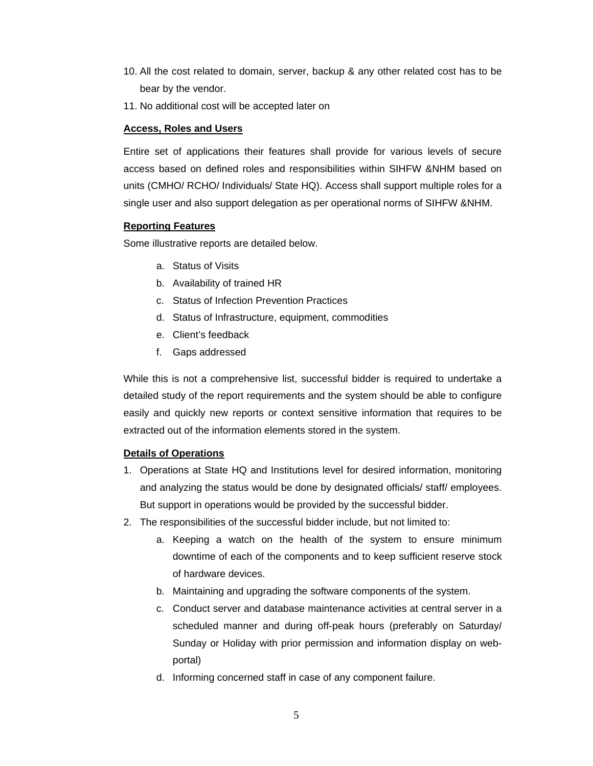- 10. All the cost related to domain, server, backup & any other related cost has to be bear by the vendor.
- 11. No additional cost will be accepted later on

### **Access, Roles and Users**

Entire set of applications their features shall provide for various levels of secure access based on defined roles and responsibilities within SIHFW &NHM based on units (CMHO/ RCHO/ Individuals/ State HQ). Access shall support multiple roles for a single user and also support delegation as per operational norms of SIHFW &NHM.

## **Reporting Features**

Some illustrative reports are detailed below.

- a. Status of Visits
- b. Availability of trained HR
- c. Status of Infection Prevention Practices
- d. Status of Infrastructure, equipment, commodities
- e. Client's feedback
- f. Gaps addressed

While this is not a comprehensive list, successful bidder is required to undertake a detailed study of the report requirements and the system should be able to configure easily and quickly new reports or context sensitive information that requires to be extracted out of the information elements stored in the system.

### **Details of Operations**

- 1. Operations at State HQ and Institutions level for desired information, monitoring and analyzing the status would be done by designated officials/ staff/ employees. But support in operations would be provided by the successful bidder.
- 2. The responsibilities of the successful bidder include, but not limited to:
	- a. Keeping a watch on the health of the system to ensure minimum downtime of each of the components and to keep sufficient reserve stock of hardware devices.
	- b. Maintaining and upgrading the software components of the system.
	- c. Conduct server and database maintenance activities at central server in a scheduled manner and during off-peak hours (preferably on Saturday/ Sunday or Holiday with prior permission and information display on webportal)
	- d. Informing concerned staff in case of any component failure.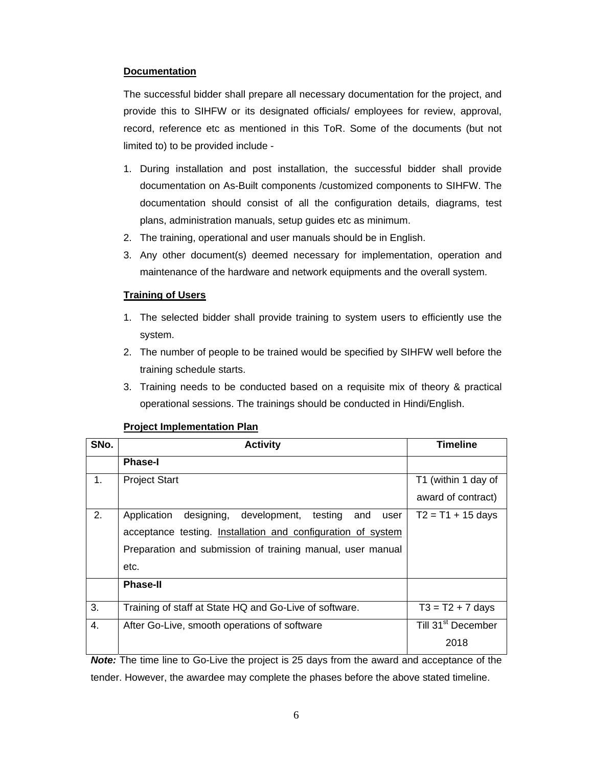#### **Documentation**

The successful bidder shall prepare all necessary documentation for the project, and provide this to SIHFW or its designated officials/ employees for review, approval, record, reference etc as mentioned in this ToR. Some of the documents (but not limited to) to be provided include -

- 1. During installation and post installation, the successful bidder shall provide documentation on As-Built components /customized components to SIHFW. The documentation should consist of all the configuration details, diagrams, test plans, administration manuals, setup guides etc as minimum.
- 2. The training, operational and user manuals should be in English.
- 3. Any other document(s) deemed necessary for implementation, operation and maintenance of the hardware and network equipments and the overall system.

#### **Training of Users**

- 1. The selected bidder shall provide training to system users to efficiently use the system.
- 2. The number of people to be trained would be specified by SIHFW well before the training schedule starts.
- 3. Training needs to be conducted based on a requisite mix of theory & practical operational sessions. The trainings should be conducted in Hindi/English.

| SNo.           | <b>Activity</b>                                                     | <b>Timeline</b>                              |  |
|----------------|---------------------------------------------------------------------|----------------------------------------------|--|
|                | <b>Phase-I</b>                                                      |                                              |  |
| 1 <sub>1</sub> | <b>Project Start</b>                                                | T1 (within 1 day of                          |  |
|                |                                                                     | award of contract)                           |  |
| 2.             | designing,<br>development,<br>Application<br>testing<br>and<br>user | $T2 = T1 + 15$ days                          |  |
|                | acceptance testing. Installation and configuration of system        |                                              |  |
|                | Preparation and submission of training manual, user manual          |                                              |  |
|                | etc.                                                                |                                              |  |
|                | <b>Phase-II</b>                                                     |                                              |  |
| 3.             | Training of staff at State HQ and Go-Live of software.              | $T3 = T2 + 7$ days                           |  |
| 4.             | After Go-Live, smooth operations of software                        | $\overline{T}$ ill 31 <sup>st</sup> December |  |
|                |                                                                     | 2018                                         |  |

#### **Project Implementation Plan**

*Note:* The time line to Go-Live the project is 25 days from the award and acceptance of the tender. However, the awardee may complete the phases before the above stated timeline.